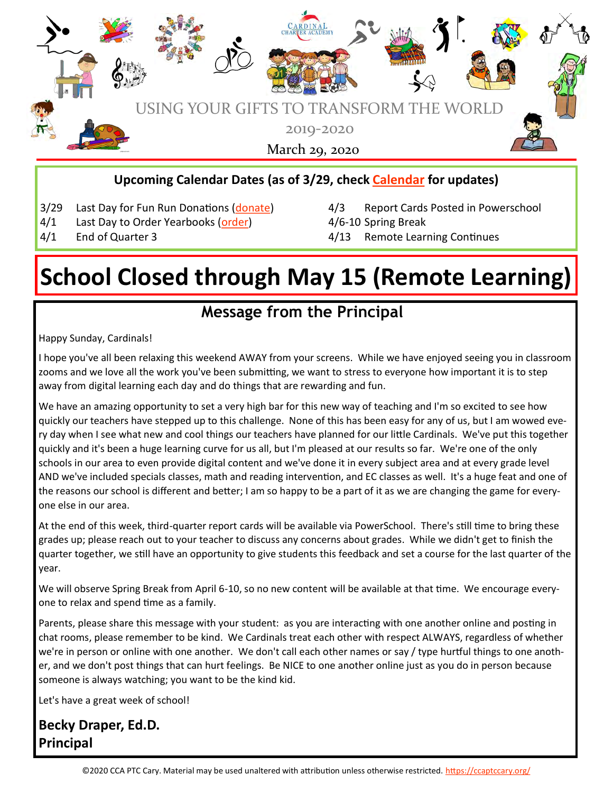

#### **Upcoming Calendar Dates (as of 3/29, check [Calendar](https://ccaptccary.org/calendar/) for updates)**

- 3/29 Last Day for Fun Run Donations [\(donate\)](https://www.classy.org/event/2019-2020-cca-fun-run/e274892) 4/3 Report Cards Posted in Powerschool
- 4/1 Last Day to Order Yearbooks [\(order\)](https://ybpay.lifetouch.com) 4/6-10 Spring Break

4/1 End of Quarter 3 4/13 Remote Learning Continues

# **School Closed through May 15 (Remote Learning)**

# **Message from the Principal**

Happy Sunday, Cardinals!

I hope you've all been relaxing this weekend AWAY from your screens. While we have enjoyed seeing you in classroom zooms and we love all the work you've been submitting, we want to stress to everyone how important it is to step away from digital learning each day and do things that are rewarding and fun.

We have an amazing opportunity to set a very high bar for this new way of teaching and I'm so excited to see how quickly our teachers have stepped up to this challenge. None of this has been easy for any of us, but I am wowed every day when I see what new and cool things our teachers have planned for our little Cardinals. We've put this together quickly and it's been a huge learning curve for us all, but I'm pleased at our results so far. We're one of the only schools in our area to even provide digital content and we've done it in every subject area and at every grade level AND we've included specials classes, math and reading intervention, and EC classes as well. It's a huge feat and one of the reasons our school is different and better; I am so happy to be a part of it as we are changing the game for everyone else in our area.

At the end of this week, third-quarter report cards will be available via PowerSchool. There's still time to bring these grades up; please reach out to your teacher to discuss any concerns about grades. While we didn't get to finish the quarter together, we still have an opportunity to give students this feedback and set a course for the last quarter of the year.

We will observe Spring Break from April 6-10, so no new content will be available at that time. We encourage everyone to relax and spend time as a family.

Parents, please share this message with your student: as you are interacting with one another online and posting in chat rooms, please remember to be kind. We Cardinals treat each other with respect ALWAYS, regardless of whether we're in person or online with one another. We don't call each other names or say / type hurtful things to one another, and we don't post things that can hurt feelings. Be NICE to one another online just as you do in person because someone is always watching; you want to be the kind kid.

Let's have a great week of school!

# **Becky Draper, Ed.D. Principal**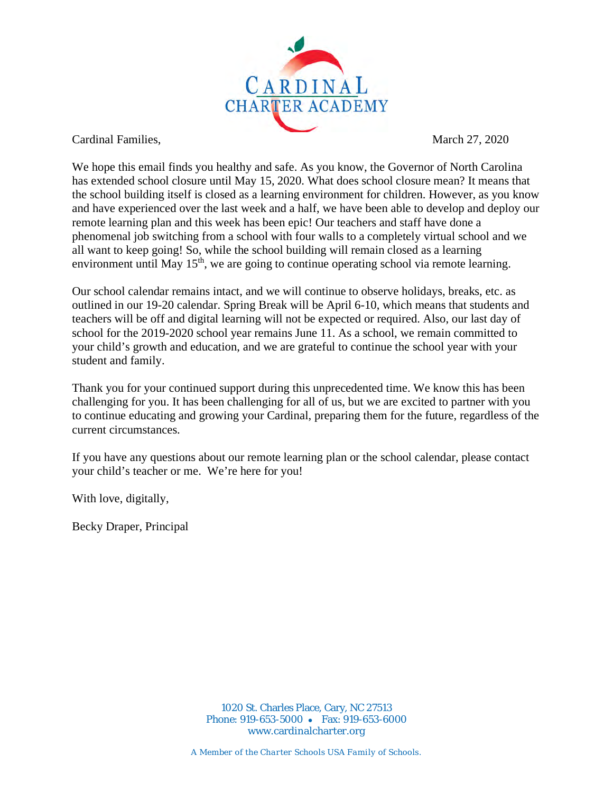

Cardinal Families. March 27, 2020

We hope this email finds you healthy and safe. As you know, the Governor of North Carolina has extended school closure until May 15, 2020. What does school closure mean? It means that the school building itself is closed as a learning environment for children. However, as you know and have experienced over the last week and a half, we have been able to develop and deploy our remote learning plan and this week has been epic! Our teachers and staff have done a phenomenal job switching from a school with four walls to a completely virtual school and we all want to keep going! So, while the school building will remain closed as a learning environment until May 15<sup>th</sup>, we are going to continue operating school via remote learning.

Our school calendar remains intact, and we will continue to observe holidays, breaks, etc. as outlined in our 19-20 calendar. Spring Break will be April 6-10, which means that students and teachers will be off and digital learning will not be expected or required. Also, our last day of school for the 2019-2020 school year remains June 11. As a school, we remain committed to your child's growth and education, and we are grateful to continue the school year with your student and family.

Thank you for your continued support during this unprecedented time. We know this has been challenging for you. It has been challenging for all of us, but we are excited to partner with you to continue educating and growing your Cardinal, preparing them for the future, regardless of the current circumstances.

If you have any questions about our remote learning plan or the school calendar, please contact your child's teacher or me. We're here for you!

With love, digitally,

Becky Draper, Principal

1020 St. Charles Place, Cary, NC 27513 Phone: 919-653-5000 • Fax: 919-653-6000 www.cardinalcharter.org

*A Member of the Charter Schools USA Family of Schools.*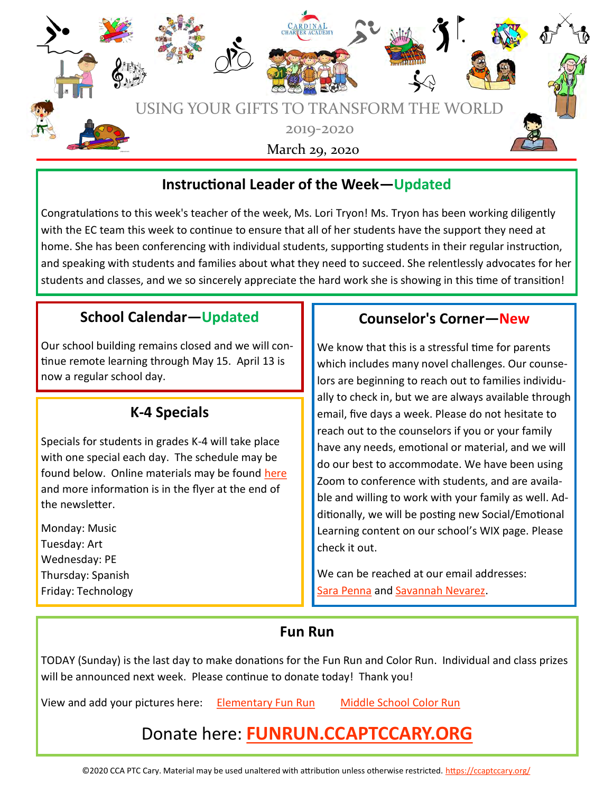

# **Instructional Leader of the Week—Updated**

Congratulations to this week's teacher of the week, Ms. Lori Tryon! Ms. Tryon has been working diligently with the EC team this week to continue to ensure that all of her students have the support they need at home. She has been conferencing with individual students, supporting students in their regular instruction, and speaking with students and families about what they need to succeed. She relentlessly advocates for her students and classes, and we so sincerely appreciate the hard work she is showing in this time of transition!

#### **School Calendar—Updated**

Our school building remains closed and we will continue remote learning through May 15. April 13 is now a regular school day.

## **K-4 Specials**

Specials for students in grades K-4 will take place with one special each day. The schedule may be found below. Online materials may be found [here](https://sites.google.com/view/cca-specials/home) and more information is in the flyer at the end of the newsletter.

Monday: Music Tuesday: Art Wednesday: PE Thursday: Spanish Friday: Technology

# **Counselor's Corner—New**

We know that this is a stressful time for parents which includes many novel challenges. Our counselors are beginning to reach out to families individually to check in, but we are always available through email, five days a week. Please do not hesitate to reach out to the counselors if you or your family have any needs, emotional or material, and we will do our best to accommodate. We have been using Zoom to conference with students, and are available and willing to work with your family as well. Additionally, we will be posting new Social/Emotional Learning content on our school's WIX page. Please check it out.

We can be reached at our email addresses: [Sara Penna](mailto:spenna@cardinalcharter.org) and [Savannah Nevarez.](mailto:snevarez@cardinalcharter.org)

## **Fun Run**

TODAY (Sunday) is the last day to make donations for the Fun Run and Color Run. Individual and class prizes will be announced next week. Please continue to donate today! Thank you!

View and add your pictures here: [Elementary Fun Run](https://photos.app.goo.gl/AuVfUN8yKeaQJsys6) [Middle School Color Run](https://photos.app.goo.gl/Fo9AQqPDUyqe1VGj9)

# Donate here: **[FUNRUN.CCAPTCCARY.ORG](https://give.classy.org/ccafunrun2019)**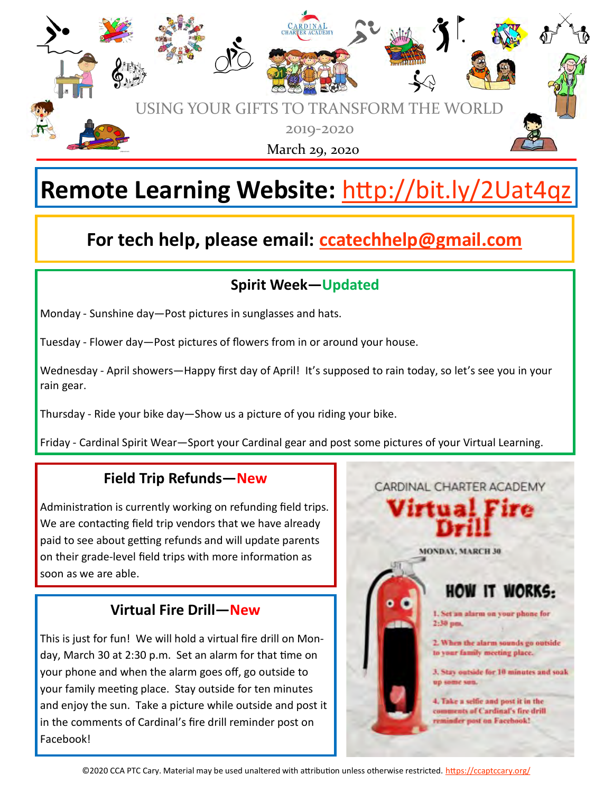

# **Remote Learning Website:** <http://bit.ly/2Uat4qz>

# **For tech help, please email: [ccatechhelp@gmail.com](mailto:ccatechhelp@gmail.com)**

# **Spirit Week—Updated**

Monday - Sunshine day—Post pictures in sunglasses and hats.

Tuesday - Flower day—Post pictures of flowers from in or around your house.

Wednesday - April showers—Happy first day of April! It's supposed to rain today, so let's see you in your rain gear.

Thursday - Ride your bike day—Show us a picture of you riding your bike.

Friday - Cardinal Spirit Wear—Sport your Cardinal gear and post some pictures of your Virtual Learning.

## **Field Trip Refunds—New**

Administration is currently working on refunding field trips. We are contacting field trip vendors that we have already paid to see about getting refunds and will update parents on their grade-level field trips with more information as soon as we are able.

## **Virtual Fire Drill—New**

This is just for fun! We will hold a virtual fire drill on Monday, March 30 at 2:30 p.m. Set an alarm for that time on your phone and when the alarm goes off, go outside to your family meeting place. Stay outside for ten minutes and enjoy the sun. Take a picture while outside and post it in the comments of Cardinal's fire drill reminder post on Facebook!

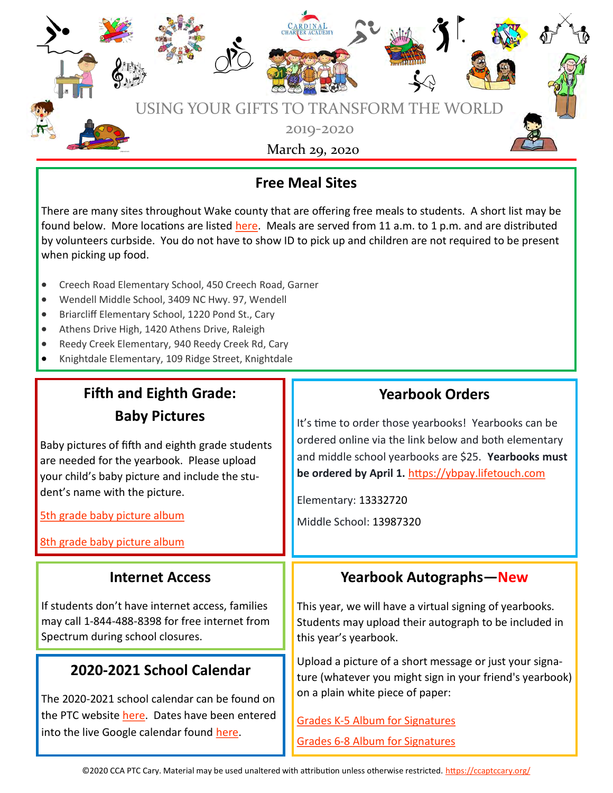

## **Free Meal Sites**

There are many sites throughout Wake county that are offering free meals to students. A short list may be found below. More locations are listed [here.](https://www.wcpss.net/domain/16591) Meals are served from 11 a.m. to 1 p.m. and are distributed by volunteers curbside. You do not have to show ID to pick up and children are not required to be present when picking up food.

- Creech Road Elementary School, 450 Creech Road, Garner
- Wendell Middle School, 3409 NC Hwy. 97, Wendell
- Briarcliff Elementary School, 1220 Pond St., Cary
- Athens Drive High, 1420 Athens Drive, Raleigh
- Reedy Creek Elementary, 940 Reedy Creek Rd, Cary
- Knightdale Elementary, 109 Ridge Street, Knightdale

# **Fifth and Eighth Grade: Baby Pictures**

Baby pictures of fifth and eighth grade students are needed for the yearbook. Please upload your child's baby picture and include the student's name with the picture.

[5th grade baby picture album](https://photos.app.goo.gl/u5MZQvLotJCsGYqHA)

[8th grade baby picture album](https://photos.app.goo.gl/YdZpn7YacxT7arDV6)

#### **Internet Access**

If students don't have internet access, families may call 1-844-488-8398 for free internet from Spectrum during school closures.

# **2020-2021 School Calendar**

The 2020-2021 school calendar can be found on the PTC website [here.](https://ccaptccary.org/wp-content/uploads/2019/12/CARD-2020-2021-calendar.pdf) Dates have been entered into the live Google calendar found [here.](https://calendar.google.com/calendar/r?cid=ngrantcca@gmail.com)

# **Yearbook Orders**

It's time to order those yearbooks! Yearbooks can be ordered online via the link below and both elementary and middle school yearbooks are \$25. **Yearbooks must be ordered by April 1.** [https://ybpay.lifetouch.com](https://ybpay.lifetouch.com/)

Elementary: 13332720

Middle School: 13987320

## **Yearbook Autographs—New**

This year, we will have a virtual signing of yearbooks. Students may upload their autograph to be included in this year's yearbook.

Upload a picture of a short message or just your signature (whatever you might sign in your friend's yearbook) on a plain white piece of paper:

Grades K-[5 Album for Signatures](https://photos.app.goo.gl/mnBwmuAoCSAtwS6P8) Grades 6-[8 Album for Signatures](https://photos.app.goo.gl/M49EUSimdYvh2T32A)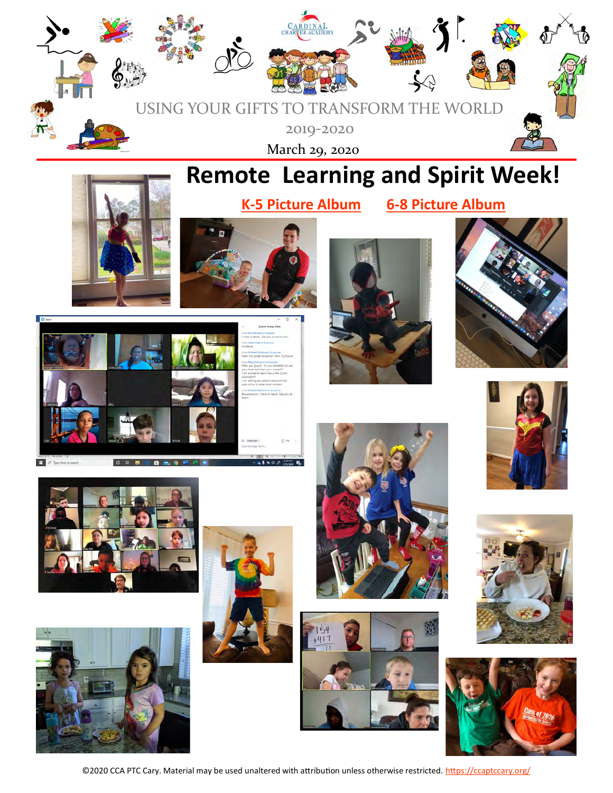

# **Remote Learning and Spirit Week!**



**K-[5 Picture Album](https://photos.app.goo.gl/cP389yafovZ3DSfE6) 6-[8 Picture Album](https://photos.app.goo.gl/qZDyacNdLi8EoY2c8)**























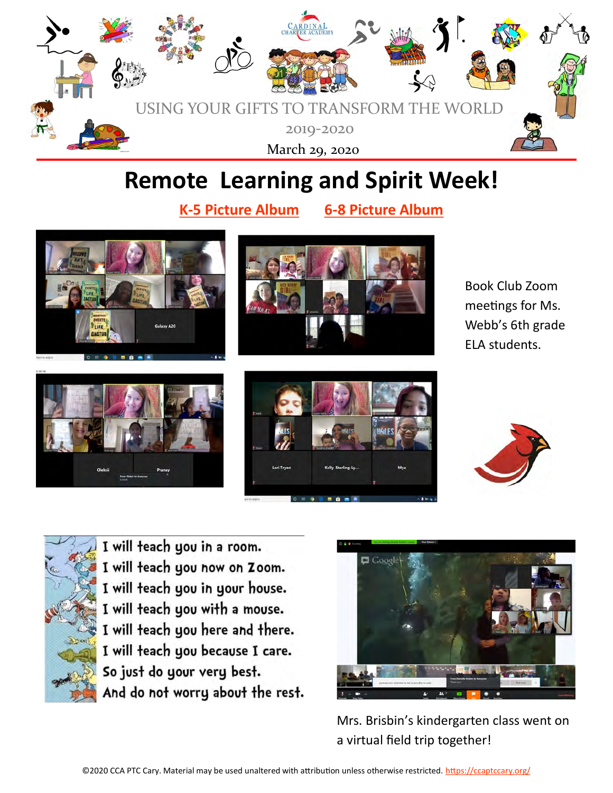

# **Remote Learning and Spirit Week!**

**K-[5 Picture Album](https://photos.app.goo.gl/cP389yafovZ3DSfE6) 6-[8 Picture Album](https://photos.app.goo.gl/qZDyacNdLi8EoY2c8)**





Book Club Zoom meetings for Ms. Webb's 6th grade ELA students.









I will teach you in a room. I will teach you now on Zoom. I will teach you in your house. I will teach you with a mouse. I will teach you here and there. I will teach you because I care. So just do your very best. And do not worry about the rest.



Mrs. Brisbin's kindergarten class went on a virtual field trip together!